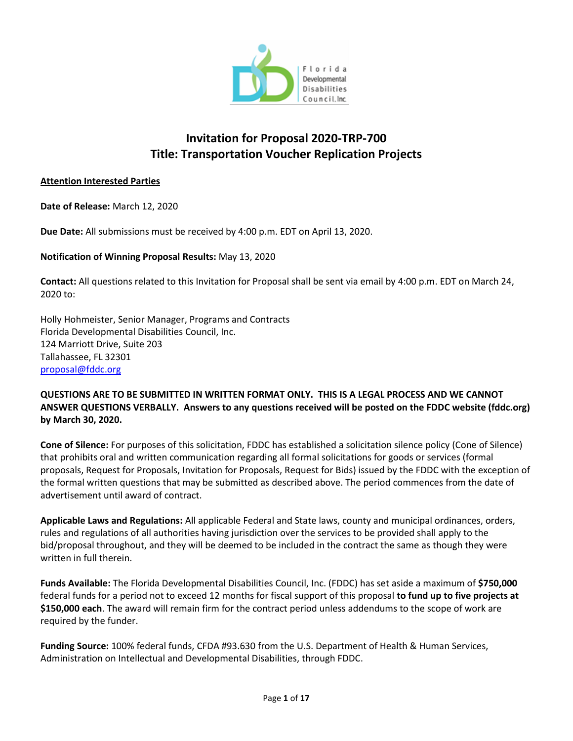

# **Invitation for Proposal 2020-TRP-700 Title: Transportation Voucher Replication Projects**

#### **Attention Interested Parties**

**Date of Release:** March 12, 2020

**Due Date:** All submissions must be received by 4:00 p.m. EDT on April 13, 2020.

**Notification of Winning Proposal Results:** May 13, 2020

**Contact:** All questions related to this Invitation for Proposal shall be sent via email by 4:00 p.m. EDT on March 24, 2020 to:

Holly Hohmeister, Senior Manager, Programs and Contracts Florida Developmental Disabilities Council, Inc. 124 Marriott Drive, Suite 203 Tallahassee, FL 32301 [proposal@fddc.org](mailto:proposal@fddc.org)

#### **QUESTIONS ARE TO BE SUBMITTED IN WRITTEN FORMAT ONLY. THIS IS A LEGAL PROCESS AND WE CANNOT ANSWER QUESTIONS VERBALLY. Answers to any questions received will be posted on the FDDC website (fddc.org) by March 30, 2020.**

**Cone of Silence:** For purposes of this solicitation, FDDC has established a solicitation silence policy (Cone of Silence) that prohibits oral and written communication regarding all formal solicitations for goods or services (formal proposals, Request for Proposals, Invitation for Proposals, Request for Bids) issued by the FDDC with the exception of the formal written questions that may be submitted as described above. The period commences from the date of advertisement until award of contract.

**Applicable Laws and Regulations:** All applicable Federal and State laws, county and municipal ordinances, orders, rules and regulations of all authorities having jurisdiction over the services to be provided shall apply to the bid/proposal throughout, and they will be deemed to be included in the contract the same as though they were written in full therein.

**Funds Available:** The Florida Developmental Disabilities Council, Inc. (FDDC) has set aside a maximum of **\$750,000** federal funds for a period not to exceed 12 months for fiscal support of this proposal **to fund up to five projects at \$150,000 each**. The award will remain firm for the contract period unless addendums to the scope of work are required by the funder.

**Funding Source:** 100% federal funds, CFDA #93.630 from the U.S. Department of Health & Human Services, Administration on Intellectual and Developmental Disabilities, through FDDC.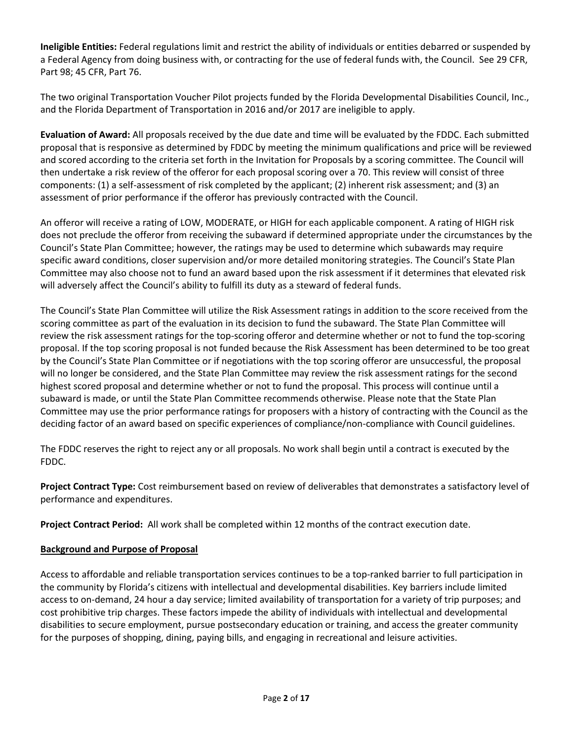**Ineligible Entities:** Federal regulations limit and restrict the ability of individuals or entities debarred or suspended by a Federal Agency from doing business with, or contracting for the use of federal funds with, the Council. See 29 CFR, Part 98; 45 CFR, Part 76.

The two original Transportation Voucher Pilot projects funded by the Florida Developmental Disabilities Council, Inc., and the Florida Department of Transportation in 2016 and/or 2017 are ineligible to apply.

**Evaluation of Award:** All proposals received by the due date and time will be evaluated by the FDDC. Each submitted proposal that is responsive as determined by FDDC by meeting the minimum qualifications and price will be reviewed and scored according to the criteria set forth in the Invitation for Proposals by a scoring committee. The Council will then undertake a risk review of the offeror for each proposal scoring over a 70. This review will consist of three components: (1) a self-assessment of risk completed by the applicant; (2) inherent risk assessment; and (3) an assessment of prior performance if the offeror has previously contracted with the Council.

An offeror will receive a rating of LOW, MODERATE, or HIGH for each applicable component. A rating of HIGH risk does not preclude the offeror from receiving the subaward if determined appropriate under the circumstances by the Council's State Plan Committee; however, the ratings may be used to determine which subawards may require specific award conditions, closer supervision and/or more detailed monitoring strategies. The Council's State Plan Committee may also choose not to fund an award based upon the risk assessment if it determines that elevated risk will adversely affect the Council's ability to fulfill its duty as a steward of federal funds.

The Council's State Plan Committee will utilize the Risk Assessment ratings in addition to the score received from the scoring committee as part of the evaluation in its decision to fund the subaward. The State Plan Committee will review the risk assessment ratings for the top-scoring offeror and determine whether or not to fund the top-scoring proposal. If the top scoring proposal is not funded because the Risk Assessment has been determined to be too great by the Council's State Plan Committee or if negotiations with the top scoring offeror are unsuccessful, the proposal will no longer be considered, and the State Plan Committee may review the risk assessment ratings for the second highest scored proposal and determine whether or not to fund the proposal. This process will continue until a subaward is made, or until the State Plan Committee recommends otherwise. Please note that the State Plan Committee may use the prior performance ratings for proposers with a history of contracting with the Council as the deciding factor of an award based on specific experiences of compliance/non-compliance with Council guidelines.

The FDDC reserves the right to reject any or all proposals. No work shall begin until a contract is executed by the FDDC.

**Project Contract Type:** Cost reimbursement based on review of deliverables that demonstrates a satisfactory level of performance and expenditures.

**Project Contract Period:** All work shall be completed within 12 months of the contract execution date.

#### **Background and Purpose of Proposal**

Access to affordable and reliable transportation services continues to be a top-ranked barrier to full participation in the community by Florida's citizens with intellectual and developmental disabilities. Key barriers include limited access to on-demand, 24 hour a day service; limited availability of transportation for a variety of trip purposes; and cost prohibitive trip charges. These factors impede the ability of individuals with intellectual and developmental disabilities to secure employment, pursue postsecondary education or training, and access the greater community for the purposes of shopping, dining, paying bills, and engaging in recreational and leisure activities.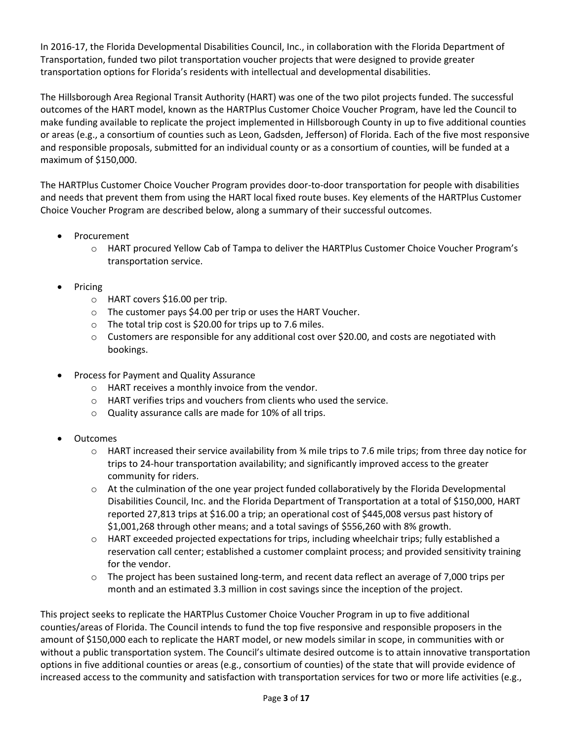In 2016-17, the Florida Developmental Disabilities Council, Inc., in collaboration with the Florida Department of Transportation, funded two pilot transportation voucher projects that were designed to provide greater transportation options for Florida's residents with intellectual and developmental disabilities.

The Hillsborough Area Regional Transit Authority (HART) was one of the two pilot projects funded. The successful outcomes of the HART model, known as the HARTPlus Customer Choice Voucher Program, have led the Council to make funding available to replicate the project implemented in Hillsborough County in up to five additional counties or areas (e.g., a consortium of counties such as Leon, Gadsden, Jefferson) of Florida. Each of the five most responsive and responsible proposals, submitted for an individual county or as a consortium of counties, will be funded at a maximum of \$150,000.

The HARTPlus Customer Choice Voucher Program provides door-to-door transportation for people with disabilities and needs that prevent them from using the HART local fixed route buses. Key elements of the HARTPlus Customer Choice Voucher Program are described below, along a summary of their successful outcomes.

- Procurement
	- o HART procured Yellow Cab of Tampa to deliver the HARTPlus Customer Choice Voucher Program's transportation service.
- Pricing
	- o HART covers \$16.00 per trip.
	- o The customer pays \$4.00 per trip or uses the HART Voucher.
	- o The total trip cost is \$20.00 for trips up to 7.6 miles.
	- $\circ$  Customers are responsible for any additional cost over \$20.00, and costs are negotiated with bookings.
- Process for Payment and Quality Assurance
	- o HART receives a monthly invoice from the vendor.
	- o HART verifies trips and vouchers from clients who used the service.
	- o Quality assurance calls are made for 10% of all trips.
- Outcomes
	- o HART increased their service availability from ¾ mile trips to 7.6 mile trips; from three day notice for trips to 24-hour transportation availability; and significantly improved access to the greater community for riders.
	- $\circ$  At the culmination of the one year project funded collaboratively by the Florida Developmental Disabilities Council, Inc. and the Florida Department of Transportation at a total of \$150,000, HART reported 27,813 trips at \$16.00 a trip; an operational cost of \$445,008 versus past history of \$1,001,268 through other means; and a total savings of \$556,260 with 8% growth.
	- o HART exceeded projected expectations for trips, including wheelchair trips; fully established a reservation call center; established a customer complaint process; and provided sensitivity training for the vendor.
	- $\circ$  The project has been sustained long-term, and recent data reflect an average of 7,000 trips per month and an estimated 3.3 million in cost savings since the inception of the project.

This project seeks to replicate the HARTPlus Customer Choice Voucher Program in up to five additional counties/areas of Florida. The Council intends to fund the top five responsive and responsible proposers in the amount of \$150,000 each to replicate the HART model, or new models similar in scope, in communities with or without a public transportation system. The Council's ultimate desired outcome is to attain innovative transportation options in five additional counties or areas (e.g., consortium of counties) of the state that will provide evidence of increased access to the community and satisfaction with transportation services for two or more life activities (e.g.,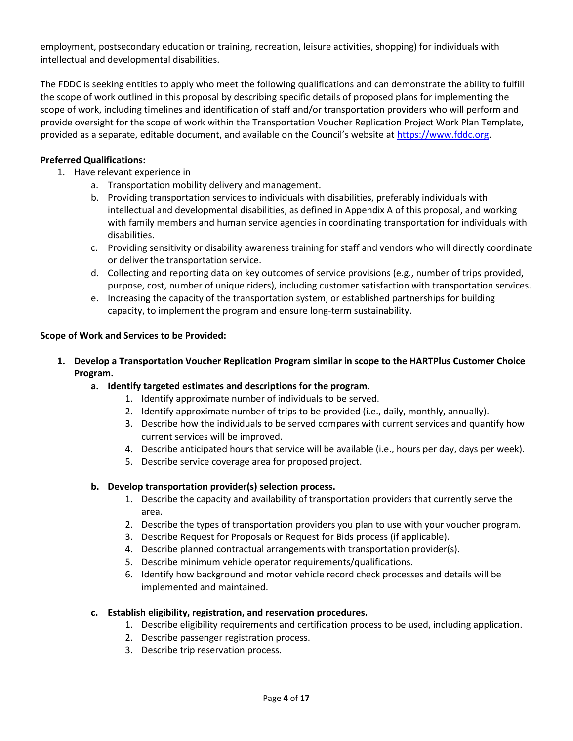employment, postsecondary education or training, recreation, leisure activities, shopping) for individuals with intellectual and developmental disabilities.

The FDDC is seeking entities to apply who meet the following qualifications and can demonstrate the ability to fulfill the scope of work outlined in this proposal by describing specific details of proposed plans for implementing the scope of work, including timelines and identification of staff and/or transportation providers who will perform and provide oversight for the scope of work within the Transportation Voucher Replication Project Work Plan Template, provided as a separate, editable document, and available on the Council's website at [https://www.fddc.org.](https://www.fddc.org/)

#### **Preferred Qualifications:**

- 1. Have relevant experience in
	- a. Transportation mobility delivery and management.
	- b. Providing transportation services to individuals with disabilities, preferably individuals with intellectual and developmental disabilities, as defined in Appendix A of this proposal, and working with family members and human service agencies in coordinating transportation for individuals with disabilities.
	- c. Providing sensitivity or disability awareness training for staff and vendors who will directly coordinate or deliver the transportation service.
	- d. Collecting and reporting data on key outcomes of service provisions (e.g., number of trips provided, purpose, cost, number of unique riders), including customer satisfaction with transportation services.
	- e. Increasing the capacity of the transportation system, or established partnerships for building capacity, to implement the program and ensure long-term sustainability.

#### **Scope of Work and Services to be Provided:**

- **1. Develop a Transportation Voucher Replication Program similar in scope to the HARTPlus Customer Choice Program.**
	- **a. Identify targeted estimates and descriptions for the program.**
		- 1. Identify approximate number of individuals to be served.
		- 2. Identify approximate number of trips to be provided (i.e., daily, monthly, annually).
		- 3. Describe how the individuals to be served compares with current services and quantify how current services will be improved.
		- 4. Describe anticipated hours that service will be available (i.e., hours per day, days per week).
		- 5. Describe service coverage area for proposed project.

#### **b. Develop transportation provider(s) selection process.**

- 1. Describe the capacity and availability of transportation providers that currently serve the area.
- 2. Describe the types of transportation providers you plan to use with your voucher program.
- 3. Describe Request for Proposals or Request for Bids process (if applicable).
- 4. Describe planned contractual arrangements with transportation provider(s).
- 5. Describe minimum vehicle operator requirements/qualifications.
- 6. Identify how background and motor vehicle record check processes and details will be implemented and maintained.

#### **c. Establish eligibility, registration, and reservation procedures.**

- 1. Describe eligibility requirements and certification process to be used, including application.
- 2. Describe passenger registration process.
- 3. Describe trip reservation process.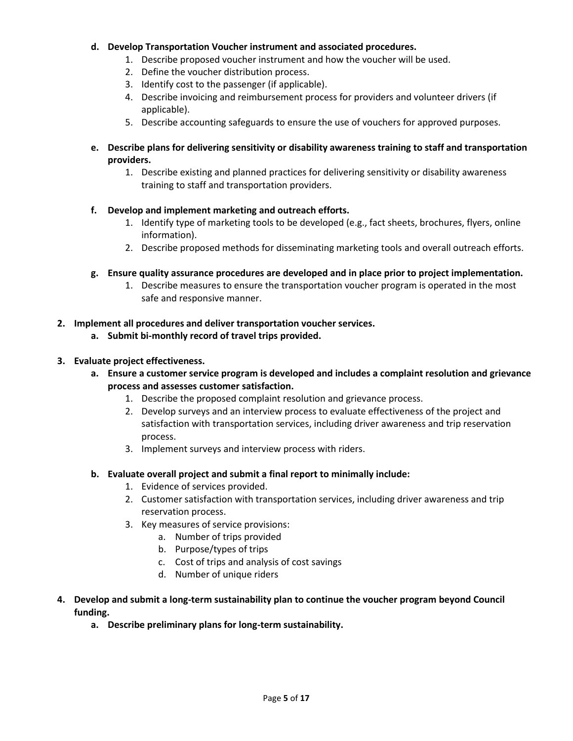#### **d. Develop Transportation Voucher instrument and associated procedures.**

- 1. Describe proposed voucher instrument and how the voucher will be used.
- 2. Define the voucher distribution process.
- 3. Identify cost to the passenger (if applicable).
- 4. Describe invoicing and reimbursement process for providers and volunteer drivers (if applicable).
- 5. Describe accounting safeguards to ensure the use of vouchers for approved purposes.
- **e. Describe plans for delivering sensitivity or disability awareness training to staff and transportation providers.**
	- 1. Describe existing and planned practices for delivering sensitivity or disability awareness training to staff and transportation providers.

#### **f. Develop and implement marketing and outreach efforts.**

- 1. Identify type of marketing tools to be developed (e.g., fact sheets, brochures, flyers, online information).
- 2. Describe proposed methods for disseminating marketing tools and overall outreach efforts.
- **g. Ensure quality assurance procedures are developed and in place prior to project implementation.**
	- 1. Describe measures to ensure the transportation voucher program is operated in the most safe and responsive manner.

#### **2. Implement all procedures and deliver transportation voucher services.**

**a. Submit bi-monthly record of travel trips provided.**

#### **3. Evaluate project effectiveness.**

- **a. Ensure a customer service program is developed and includes a complaint resolution and grievance process and assesses customer satisfaction.**
	- 1. Describe the proposed complaint resolution and grievance process.
	- 2. Develop surveys and an interview process to evaluate effectiveness of the project and satisfaction with transportation services, including driver awareness and trip reservation process.
	- 3. Implement surveys and interview process with riders.

#### **b. Evaluate overall project and submit a final report to minimally include:**

- 1. Evidence of services provided.
- 2. Customer satisfaction with transportation services, including driver awareness and trip reservation process.
- 3. Key measures of service provisions:
	- a. Number of trips provided
	- b. Purpose/types of trips
	- c. Cost of trips and analysis of cost savings
	- d. Number of unique riders
- **4. Develop and submit a long-term sustainability plan to continue the voucher program beyond Council funding.**
	- **a. Describe preliminary plans for long-term sustainability.**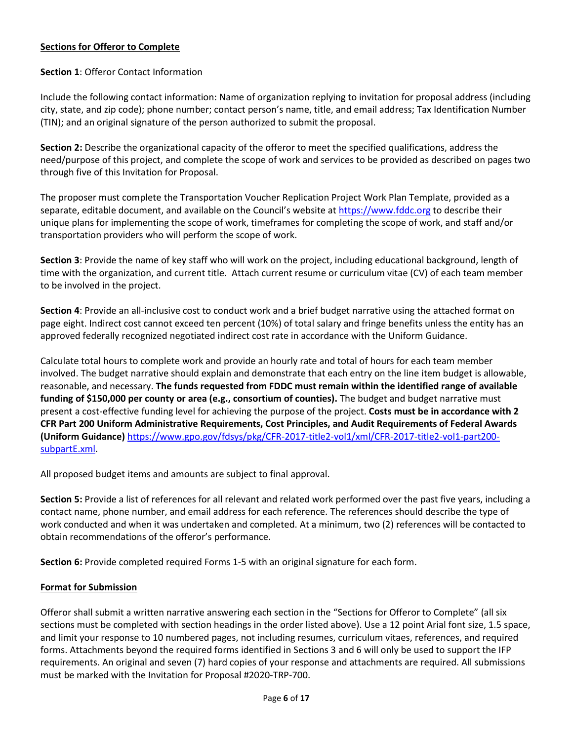#### **Sections for Offeror to Complete**

#### **Section 1**: Offeror Contact Information

Include the following contact information: Name of organization replying to invitation for proposal address (including city, state, and zip code); phone number; contact person's name, title, and email address; Tax Identification Number (TIN); and an original signature of the person authorized to submit the proposal.

**Section 2:** Describe the organizational capacity of the offeror to meet the specified qualifications, address the need/purpose of this project, and complete the scope of work and services to be provided as described on pages two through five of this Invitation for Proposal.

The proposer must complete the Transportation Voucher Replication Project Work Plan Template, provided as a separate, editable document, and available on the Council's website at [https://www.fddc.org](https://www.fddc.org/) to describe their unique plans for implementing the scope of work, timeframes for completing the scope of work, and staff and/or transportation providers who will perform the scope of work.

**Section 3**: Provide the name of key staff who will work on the project, including educational background, length of time with the organization, and current title. Attach current resume or curriculum vitae (CV) of each team member to be involved in the project.

**Section 4**: Provide an all-inclusive cost to conduct work and a brief budget narrative using the attached format on page eight. Indirect cost cannot exceed ten percent (10%) of total salary and fringe benefits unless the entity has an approved federally recognized negotiated indirect cost rate in accordance with the Uniform Guidance.

Calculate total hours to complete work and provide an hourly rate and total of hours for each team member involved. The budget narrative should explain and demonstrate that each entry on the line item budget is allowable, reasonable, and necessary. **The funds requested from FDDC must remain within the identified range of available funding of \$150,000 per county or area (e.g., consortium of counties).** The budget and budget narrative must present a cost-effective funding level for achieving the purpose of the project. **Costs must be in accordance with 2 CFR Part 200 Uniform Administrative Requirements, Cost Principles, and Audit Requirements of Federal Awards (Uniform Guidance)** [https://www.gpo.gov/fdsys/pkg/CFR-2017-title2-vol1/xml/CFR-2017-title2-vol1-part200](https://www.gpo.gov/fdsys/pkg/CFR-2017-title2-vol1/xml/CFR-2017-title2-vol1-part200-subpartE.xml) [subpartE.xml.](https://www.gpo.gov/fdsys/pkg/CFR-2017-title2-vol1/xml/CFR-2017-title2-vol1-part200-subpartE.xml)

All proposed budget items and amounts are subject to final approval.

**Section 5:** Provide a list of references for all relevant and related work performed over the past five years, including a contact name, phone number, and email address for each reference. The references should describe the type of work conducted and when it was undertaken and completed. At a minimum, two (2) references will be contacted to obtain recommendations of the offeror's performance.

**Section 6:** Provide completed required Forms 1-5 with an original signature for each form.

#### **Format for Submission**

Offeror shall submit a written narrative answering each section in the "Sections for Offeror to Complete" (all six sections must be completed with section headings in the order listed above). Use a 12 point Arial font size, 1.5 space, and limit your response to 10 numbered pages, not including resumes, curriculum vitaes, references, and required forms. Attachments beyond the required forms identified in Sections 3 and 6 will only be used to support the IFP requirements. An original and seven (7) hard copies of your response and attachments are required. All submissions must be marked with the Invitation for Proposal #2020-TRP-700.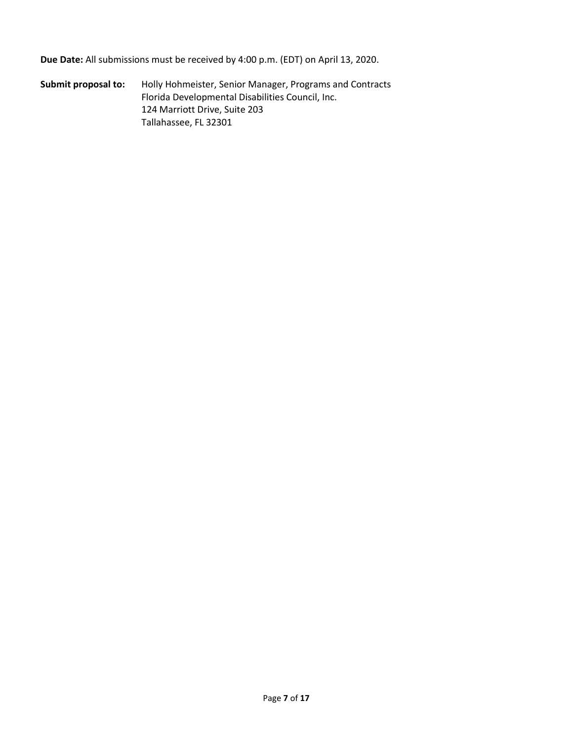**Due Date:** All submissions must be received by 4:00 p.m. (EDT) on April 13, 2020.

**Submit proposal to:** Holly Hohmeister, Senior Manager, Programs and Contracts Florida Developmental Disabilities Council, Inc. 124 Marriott Drive, Suite 203 Tallahassee, FL 32301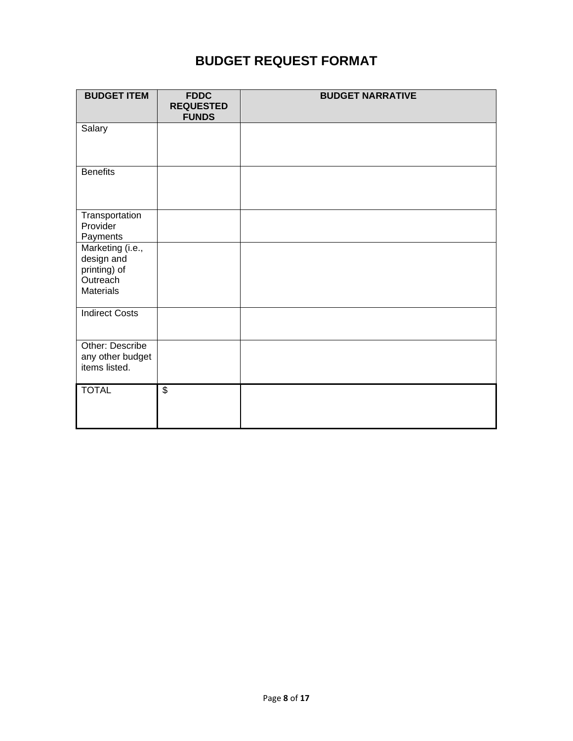# **BUDGET REQUEST FORMAT**

| <b>BUDGET ITEM</b>                                                             | <b>FDDC</b><br><b>REQUESTED</b><br><b>FUNDS</b> | <b>BUDGET NARRATIVE</b> |
|--------------------------------------------------------------------------------|-------------------------------------------------|-------------------------|
| Salary                                                                         |                                                 |                         |
| <b>Benefits</b>                                                                |                                                 |                         |
| Transportation<br>Provider<br>Payments                                         |                                                 |                         |
| Marketing (i.e.,<br>design and<br>printing) of<br>Outreach<br><b>Materials</b> |                                                 |                         |
| <b>Indirect Costs</b>                                                          |                                                 |                         |
| Other: Describe<br>any other budget<br>items listed.                           |                                                 |                         |
| <b>TOTAL</b>                                                                   | $\overline{\$}$                                 |                         |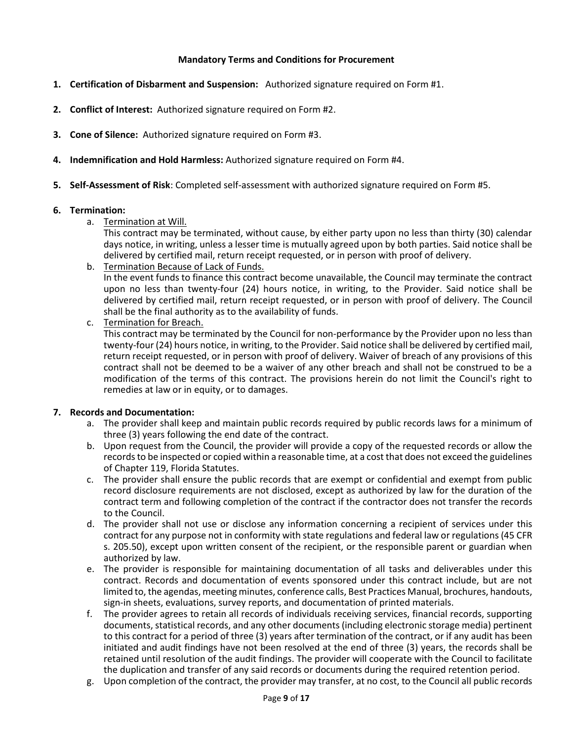#### **Mandatory Terms and Conditions for Procurement**

- **1. Certification of Disbarment and Suspension:** Authorized signature required on Form #1.
- **2. Conflict of Interest:** Authorized signature required on Form #2.
- **3. Cone of Silence:** Authorized signature required on Form #3.
- **4. Indemnification and Hold Harmless:** Authorized signature required on Form #4.
- **5. Self-Assessment of Risk**: Completed self-assessment with authorized signature required on Form #5.

#### **6. Termination:**

a. Termination at Will.

This contract may be terminated, without cause, by either party upon no less than thirty (30) calendar days notice, in writing, unless a lesser time is mutually agreed upon by both parties. Said notice shall be delivered by certified mail, return receipt requested, or in person with proof of delivery.

- b. Termination Because of Lack of Funds. In the event funds to finance this contract become unavailable, the Council may terminate the contract upon no less than twenty-four (24) hours notice, in writing, to the Provider. Said notice shall be delivered by certified mail, return receipt requested, or in person with proof of delivery. The Council shall be the final authority as to the availability of funds. c. Termination for Breach.
	- This contract may be terminated by the Council for non-performance by the Provider upon no less than twenty-four (24) hours notice, in writing, to the Provider. Said notice shall be delivered by certified mail, return receipt requested, or in person with proof of delivery. Waiver of breach of any provisions of this contract shall not be deemed to be a waiver of any other breach and shall not be construed to be a modification of the terms of this contract. The provisions herein do not limit the Council's right to remedies at law or in equity, or to damages.

#### **7. Records and Documentation:**

- a. The provider shall keep and maintain public records required by public records laws for a minimum of three (3) years following the end date of the contract.
- b. Upon request from the Council, the provider will provide a copy of the requested records or allow the records to be inspected or copied within a reasonable time, at a cost that does not exceed the guidelines of Chapter 119, Florida Statutes.
- c. The provider shall ensure the public records that are exempt or confidential and exempt from public record disclosure requirements are not disclosed, except as authorized by law for the duration of the contract term and following completion of the contract if the contractor does not transfer the records to the Council.
- d. The provider shall not use or disclose any information concerning a recipient of services under this contract for any purpose not in conformity with state regulations and federal law or regulations (45 CFR s. 205.50), except upon written consent of the recipient, or the responsible parent or guardian when authorized by law.
- e. The provider is responsible for maintaining documentation of all tasks and deliverables under this contract. Records and documentation of events sponsored under this contract include, but are not limited to, the agendas, meeting minutes, conference calls, Best Practices Manual, brochures, handouts, sign-in sheets, evaluations, survey reports, and documentation of printed materials.
- f. The provider agrees to retain all records of individuals receiving services, financial records, supporting documents, statistical records, and any other documents (including electronic storage media) pertinent to this contract for a period of three (3) years after termination of the contract, or if any audit has been initiated and audit findings have not been resolved at the end of three (3) years, the records shall be retained until resolution of the audit findings. The provider will cooperate with the Council to facilitate the duplication and transfer of any said records or documents during the required retention period.
- g. Upon completion of the contract, the provider may transfer, at no cost, to the Council all public records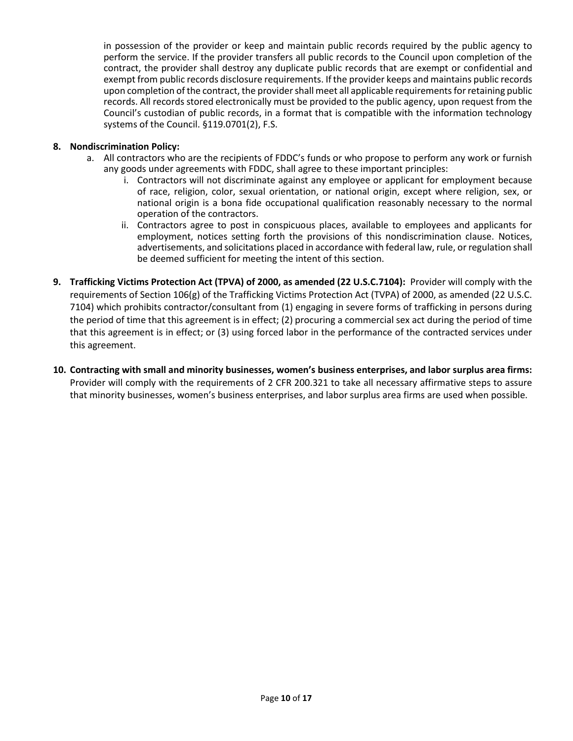in possession of the provider or keep and maintain public records required by the public agency to perform the service. If the provider transfers all public records to the Council upon completion of the contract, the provider shall destroy any duplicate public records that are exempt or confidential and exempt from public records disclosure requirements. If the provider keeps and maintains public records upon completion of the contract, the provider shall meet all applicable requirements for retaining public records. All records stored electronically must be provided to the public agency, upon request from the Council's custodian of public records, in a format that is compatible with the information technology systems of the Council. §119.0701(2), F.S.

#### **8. Nondiscrimination Policy:**

- a. All contractors who are the recipients of FDDC's funds or who propose to perform any work or furnish any goods under agreements with FDDC, shall agree to these important principles:
	- i. Contractors will not discriminate against any employee or applicant for employment because of race, religion, color, sexual orientation, or national origin, except where religion, sex, or national origin is a bona fide occupational qualification reasonably necessary to the normal operation of the contractors.
	- ii. Contractors agree to post in conspicuous places, available to employees and applicants for employment, notices setting forth the provisions of this nondiscrimination clause. Notices, advertisements, and solicitations placed in accordance with federal law, rule, or regulation shall be deemed sufficient for meeting the intent of this section.
- **9. Trafficking Victims Protection Act (TPVA) of 2000, as amended (22 U.S.C.7104):** Provider will comply with the requirements of Section 106(g) of the Trafficking Victims Protection Act (TVPA) of 2000, as amended (22 U.S.C. 7104) which prohibits contractor/consultant from (1) engaging in severe forms of trafficking in persons during the period of time that this agreement is in effect; (2) procuring a commercial sex act during the period of time that this agreement is in effect; or (3) using forced labor in the performance of the contracted services under this agreement.
- **10. Contracting with small and minority businesses, women's business enterprises, and labor surplus area firms:**  Provider will comply with the requirements of 2 CFR 200.321 to take all necessary affirmative steps to assure that minority businesses, women's business enterprises, and labor surplus area firms are used when possible.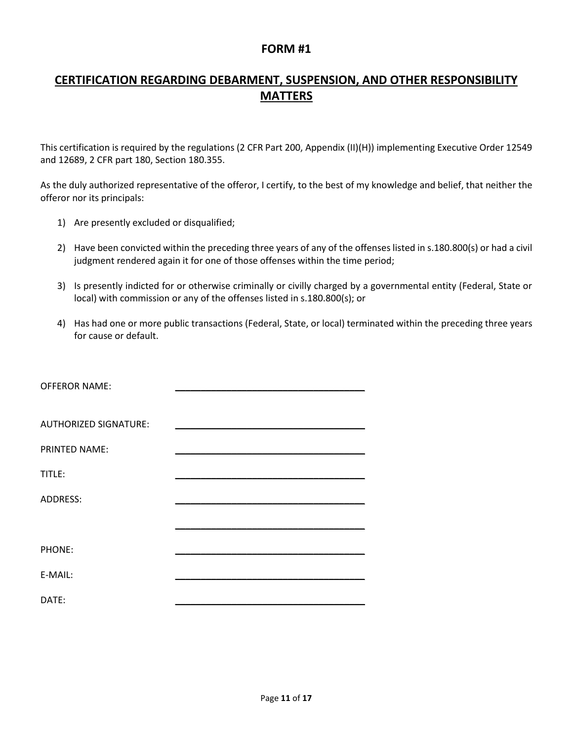## **CERTIFICATION REGARDING DEBARMENT, SUSPENSION, AND OTHER RESPONSIBILITY MATTERS**

This certification is required by the regulations (2 CFR Part 200, Appendix (II)(H)) implementing Executive Order 12549 and 12689, 2 CFR part 180, Section 180.355.

As the duly authorized representative of the offeror, I certify, to the best of my knowledge and belief, that neither the offeror nor its principals:

- 1) Are presently excluded or disqualified;
- 2) Have been convicted within the preceding three years of any of the offenses listed in s.180.800(s) or had a civil judgment rendered again it for one of those offenses within the time period;
- 3) Is presently indicted for or otherwise criminally or civilly charged by a governmental entity (Federal, State or local) with commission or any of the offenses listed in s.180.800(s); or
- 4) Has had one or more public transactions (Federal, State, or local) terminated within the preceding three years for cause or default.

| <b>OFFEROR NAME:</b>         |  |
|------------------------------|--|
|                              |  |
| <b>AUTHORIZED SIGNATURE:</b> |  |
| PRINTED NAME:                |  |
| TITLE:                       |  |
| ADDRESS:                     |  |
|                              |  |
|                              |  |
| PHONE:                       |  |
| E-MAIL:                      |  |
|                              |  |
| DATE:                        |  |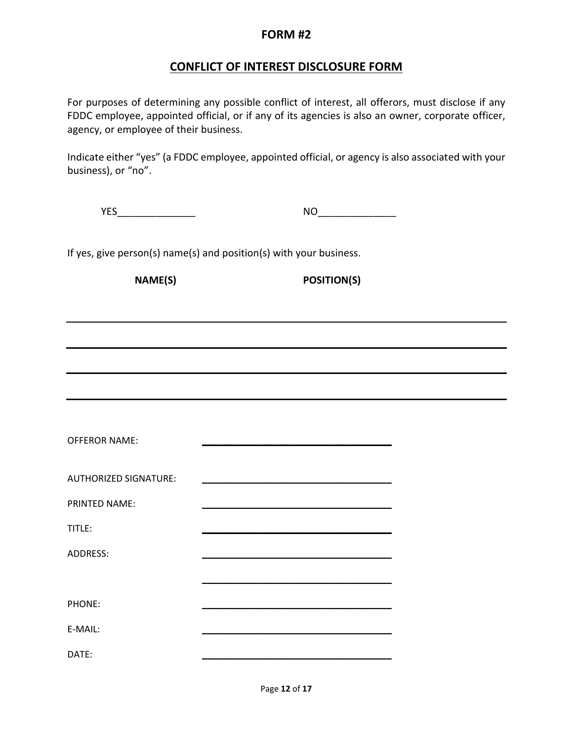### **CONFLICT OF INTEREST DISCLOSURE FORM**

For purposes of determining any possible conflict of interest, all offerors, must disclose if any FDDC employee, appointed official, or if any of its agencies is also an owner, corporate officer, agency, or employee of their business.

Indicate either "yes" (a FDDC employee, appointed official, or agency is also associated with your business), or "no".

| .<br>- - -<br>$\cdot$ $-$ |  |
|---------------------------|--|
|                           |  |

If yes, give person(s) name(s) and position(s) with your business.

**NAME(S) POSITION(S)**

| <b>OFFEROR NAME:</b>         | <u> 1950 - Johann John Harrison, martin a</u> |
|------------------------------|-----------------------------------------------|
| <b>AUTHORIZED SIGNATURE:</b> |                                               |
| <b>PRINTED NAME:</b>         |                                               |
| TITLE:                       |                                               |
| <b>ADDRESS:</b>              |                                               |
|                              |                                               |
| PHONE:                       |                                               |
| E-MAIL:                      |                                               |
| DATE:                        |                                               |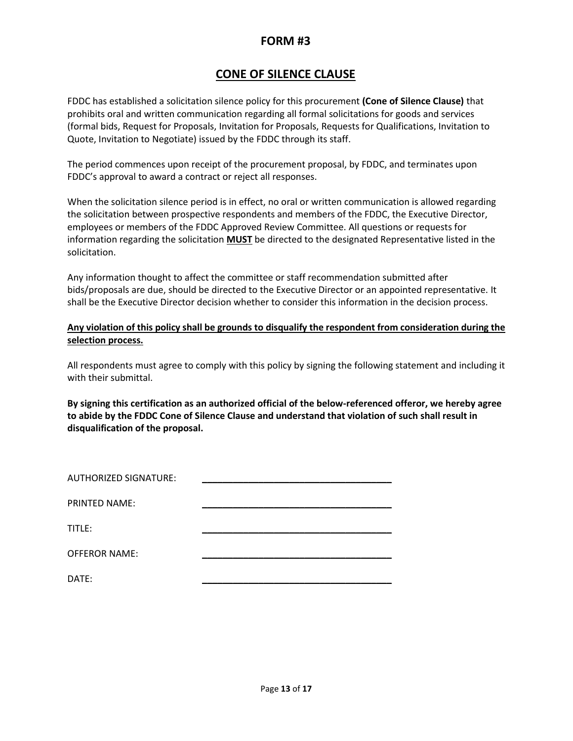### **CONE OF SILENCE CLAUSE**

FDDC has established a solicitation silence policy for this procurement **(Cone of Silence Clause)** that prohibits oral and written communication regarding all formal solicitations for goods and services (formal bids, Request for Proposals, Invitation for Proposals, Requests for Qualifications, Invitation to Quote, Invitation to Negotiate) issued by the FDDC through its staff.

The period commences upon receipt of the procurement proposal, by FDDC, and terminates upon FDDC's approval to award a contract or reject all responses.

When the solicitation silence period is in effect, no oral or written communication is allowed regarding the solicitation between prospective respondents and members of the FDDC, the Executive Director, employees or members of the FDDC Approved Review Committee. All questions or requests for information regarding the solicitation **MUST** be directed to the designated Representative listed in the solicitation.

Any information thought to affect the committee or staff recommendation submitted after bids/proposals are due, should be directed to the Executive Director or an appointed representative. It shall be the Executive Director decision whether to consider this information in the decision process.

#### **Any violation of this policy shall be grounds to disqualify the respondent from consideration during the selection process.**

All respondents must agree to comply with this policy by signing the following statement and including it with their submittal.

**By signing this certification as an authorized official of the below-referenced offeror, we hereby agree to abide by the FDDC Cone of Silence Clause and understand that violation of such shall result in disqualification of the proposal.**

| <b>AUTHORIZED SIGNATURE:</b> |  |
|------------------------------|--|
| <b>PRINTED NAME:</b>         |  |
| TITLE:                       |  |
| <b>OFFEROR NAME:</b>         |  |
| DATE:                        |  |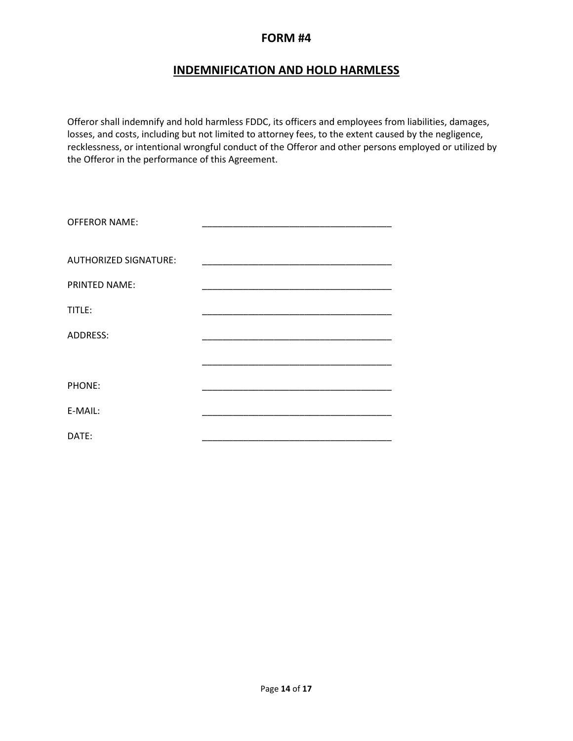### **INDEMNIFICATION AND HOLD HARMLESS**

Offeror shall indemnify and hold harmless FDDC, its officers and employees from liabilities, damages, losses, and costs, including but not limited to attorney fees, to the extent caused by the negligence, recklessness, or intentional wrongful conduct of the Offeror and other persons employed or utilized by the Offeror in the performance of this Agreement.

| <b>OFFEROR NAME:</b>         |                                |
|------------------------------|--------------------------------|
| <b>AUTHORIZED SIGNATURE:</b> |                                |
| <b>PRINTED NAME:</b>         | ______________________________ |
| TITLE:                       |                                |
| ADDRESS:                     |                                |
|                              |                                |
| PHONE:                       |                                |
| E-MAIL:                      |                                |
| DATE:                        |                                |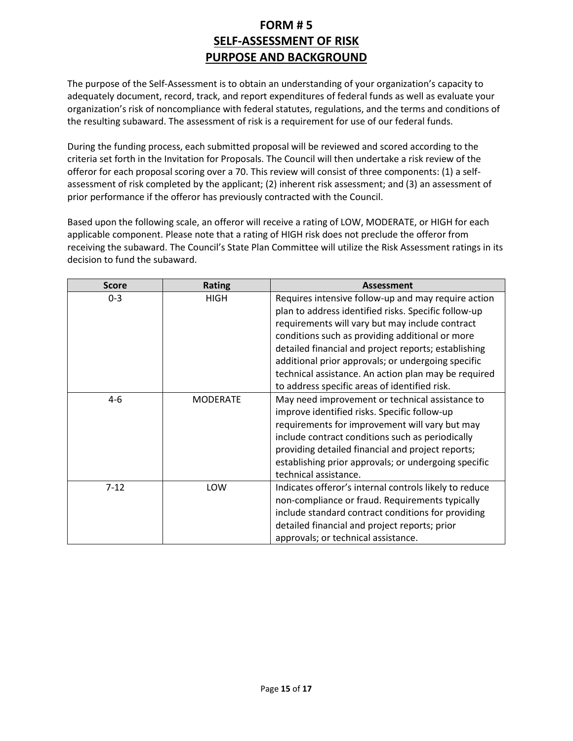# **FORM # 5 SELF-ASSESSMENT OF RISK PURPOSE AND BACKGROUND**

The purpose of the Self-Assessment is to obtain an understanding of your organization's capacity to adequately document, record, track, and report expenditures of federal funds as well as evaluate your organization's risk of noncompliance with federal statutes, regulations, and the terms and conditions of the resulting subaward. The assessment of risk is a requirement for use of our federal funds.

During the funding process, each submitted proposal will be reviewed and scored according to the criteria set forth in the Invitation for Proposals. The Council will then undertake a risk review of the offeror for each proposal scoring over a 70. This review will consist of three components: (1) a selfassessment of risk completed by the applicant; (2) inherent risk assessment; and (3) an assessment of prior performance if the offeror has previously contracted with the Council.

Based upon the following scale, an offeror will receive a rating of LOW, MODERATE, or HIGH for each applicable component. Please note that a rating of HIGH risk does not preclude the offeror from receiving the subaward. The Council's State Plan Committee will utilize the Risk Assessment ratings in its decision to fund the subaward.

| <b>Score</b> | <b>Rating</b>   | <b>Assessment</b>                                                                                                                                                                                                                                                                                                                                                                                                                        |
|--------------|-----------------|------------------------------------------------------------------------------------------------------------------------------------------------------------------------------------------------------------------------------------------------------------------------------------------------------------------------------------------------------------------------------------------------------------------------------------------|
| $0 - 3$      | HIGH            | Requires intensive follow-up and may require action<br>plan to address identified risks. Specific follow-up<br>requirements will vary but may include contract<br>conditions such as providing additional or more<br>detailed financial and project reports; establishing<br>additional prior approvals; or undergoing specific<br>technical assistance. An action plan may be required<br>to address specific areas of identified risk. |
| $4-6$        | <b>MODERATE</b> | May need improvement or technical assistance to<br>improve identified risks. Specific follow-up<br>requirements for improvement will vary but may<br>include contract conditions such as periodically<br>providing detailed financial and project reports;<br>establishing prior approvals; or undergoing specific<br>technical assistance.                                                                                              |
| $7 - 12$     | LOW             | Indicates offeror's internal controls likely to reduce<br>non-compliance or fraud. Requirements typically<br>include standard contract conditions for providing<br>detailed financial and project reports; prior<br>approvals; or technical assistance.                                                                                                                                                                                  |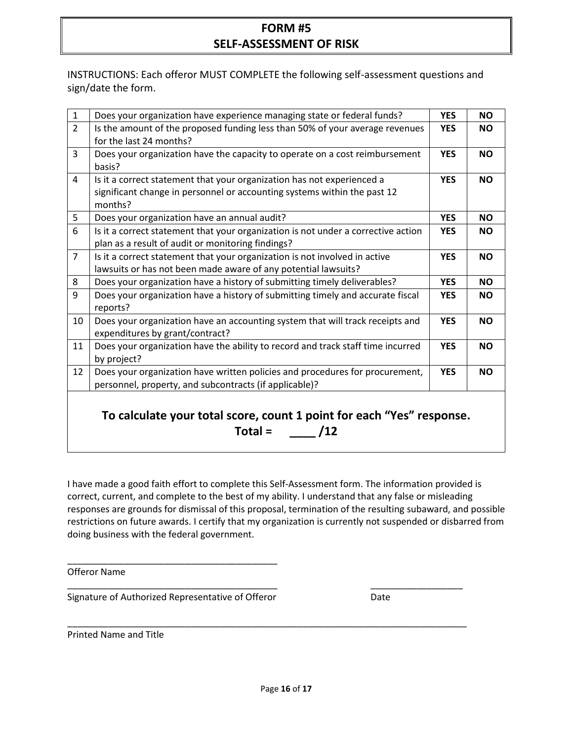# **FORM #5 SELF-ASSESSMENT OF RISK**

INSTRUCTIONS: Each offeror MUST COMPLETE the following self-assessment questions and sign/date the form.

| $\mathbf{1}$   | Does your organization have experience managing state or federal funds?                                                                                       | <b>YES</b> | <b>NO</b> |
|----------------|---------------------------------------------------------------------------------------------------------------------------------------------------------------|------------|-----------|
| $\overline{2}$ | Is the amount of the proposed funding less than 50% of your average revenues<br>for the last 24 months?                                                       | <b>YES</b> | <b>NO</b> |
| $\overline{3}$ | Does your organization have the capacity to operate on a cost reimbursement<br>basis?                                                                         | <b>YES</b> | <b>NO</b> |
| $\overline{4}$ | Is it a correct statement that your organization has not experienced a<br>significant change in personnel or accounting systems within the past 12<br>months? | <b>YES</b> | <b>NO</b> |
| 5              | Does your organization have an annual audit?                                                                                                                  | <b>YES</b> | <b>NO</b> |
| 6              | Is it a correct statement that your organization is not under a corrective action<br>plan as a result of audit or monitoring findings?                        | <b>YES</b> | <b>NO</b> |
| $\overline{7}$ | Is it a correct statement that your organization is not involved in active<br>lawsuits or has not been made aware of any potential lawsuits?                  | <b>YES</b> | <b>NO</b> |
| 8              | Does your organization have a history of submitting timely deliverables?                                                                                      | <b>YES</b> | <b>NO</b> |
| 9              | Does your organization have a history of submitting timely and accurate fiscal<br>reports?                                                                    | <b>YES</b> | <b>NO</b> |
| 10             | Does your organization have an accounting system that will track receipts and<br>expenditures by grant/contract?                                              | <b>YES</b> | <b>NO</b> |
| 11             | Does your organization have the ability to record and track staff time incurred<br>by project?                                                                | <b>YES</b> | <b>NO</b> |
| 12             | Does your organization have written policies and procedures for procurement,<br>personnel, property, and subcontracts (if applicable)?                        | <b>YES</b> | <b>NO</b> |
|                | To calculate your total score, count 1 point for each "Yes" response.<br>$Total =$                                                                            |            |           |

I have made a good faith effort to complete this Self-Assessment form. The information provided is correct, current, and complete to the best of my ability. I understand that any false or misleading responses are grounds for dismissal of this proposal, termination of the resulting subaward, and possible restrictions on future awards. I certify that my organization is currently not suspended or disbarred from doing business with the federal government.

\_\_\_\_\_\_\_\_\_\_\_\_\_\_\_\_\_\_\_\_\_\_\_\_\_\_\_\_\_\_\_\_\_\_\_\_\_\_\_\_\_ \_\_\_\_\_\_\_\_\_\_\_\_\_\_\_\_\_\_

\_\_\_\_\_\_\_\_\_\_\_\_\_\_\_\_\_\_\_\_\_\_\_\_\_\_\_\_\_\_\_\_\_\_\_\_\_\_\_\_\_\_\_\_\_\_\_\_\_\_\_\_\_\_\_\_\_\_\_\_\_\_\_\_\_\_\_\_\_\_\_\_\_\_\_\_\_\_

Offeror Name

Signature of Authorized Representative of Offeror Theorem 2011

\_\_\_\_\_\_\_\_\_\_\_\_\_\_\_\_\_\_\_\_\_\_\_\_\_\_\_\_\_\_\_\_\_\_\_\_\_\_\_\_\_

Printed Name and Title